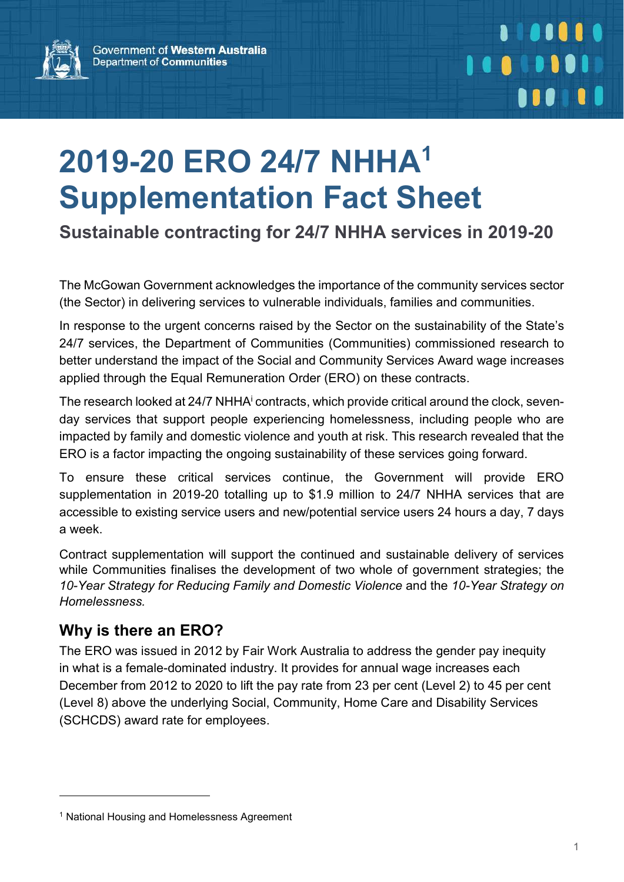

## 2019-20 ERO 24/7 NHHA<sup>1</sup> Supplementation Fact Sheet

Sustainable contracting for 24/7 NHHA services in 2019-20

The McGowan Government acknowledges the importance of the community services sector (the Sector) in delivering services to vulnerable individuals, families and communities.

In response to the urgent concerns raised by the Sector on the sustainability of the State's 24/7 services, the Department of Communities (Communities) commissioned research to better understand the impact of the Social and Community Services Award wage increases applied through the Equal Remuneration Order (ERO) on these contracts.

The research looked at 24/7 NHHA<sup>i</sup> contracts, which provide critical around the clock, sevenday services that support people experiencing homelessness, including people who are impacted by family and domestic violence and youth at risk. This research revealed that the ERO is a factor impacting the ongoing sustainability of these services going forward.

To ensure these critical services continue, the Government will provide ERO supplementation in 2019-20 totalling up to \$1.9 million to 24/7 NHHA services that are accessible to existing service users and new/potential service users 24 hours a day, 7 days a week.

Contract supplementation will support the continued and sustainable delivery of services while Communities finalises the development of two whole of government strategies; the 10-Year Strategy for Reducing Family and Domestic Violence and the 10-Year Strategy on Homelessness.

#### Why is there an ERO?

 $\overline{a}$ 

The ERO was issued in 2012 by Fair Work Australia to address the gender pay inequity in what is a female-dominated industry. It provides for annual wage increases each December from 2012 to 2020 to lift the pay rate from 23 per cent (Level 2) to 45 per cent (Level 8) above the underlying Social, Community, Home Care and Disability Services (SCHCDS) award rate for employees.

<sup>1</sup> National Housing and Homelessness Agreement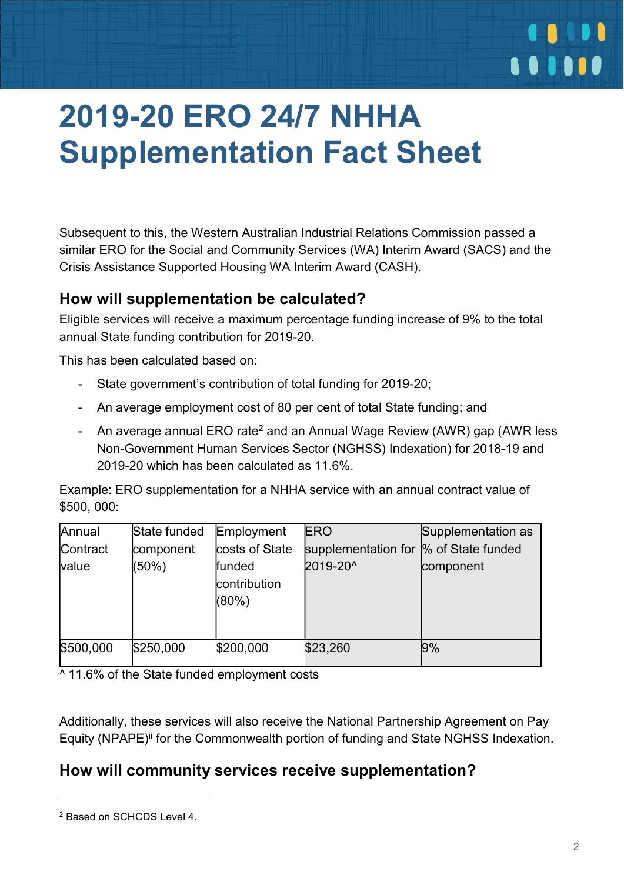## 2019-20 ERO 24/7 NHHA Supplementation Fact Sheet

Subsequent to this, the Western Australian Industrial Relations Commission passed a similar ERO for the Social and Community Services (WA) Interim Award (SACS) and the Crisis Assistance Supported Housing WA Interim Award (CASH).

#### How will supplementation be calculated?

Eligible services will receive a maximum percentage funding increase of 9% to the total annual State funding contribution for 2019-20.

This has been calculated based on:

- State government's contribution of total funding for 2019-20;
- An average employment cost of 80 per cent of total State funding; and
- An average annual ERO rate<sup>2</sup> and an Annual Wage Review (AWR) gap (AWR less Non-Government Human Services Sector (NGHSS) Indexation) for 2018-19 and 2019-20 which has been calculated as 11.6%

Example: ERO supplementation for a NHHA service with an annual contract value of \$500, 000:

| Annual    | State funded | Employment     | <b>ERO</b>          | Supplementation as |
|-----------|--------------|----------------|---------------------|--------------------|
| Contract  | component    | costs of State | supplementation for | % of State funded  |
| value     | (50%)        | funded         | 2019-20^            | component          |
|           |              | contribution   |                     |                    |
|           |              | $(80\%)$       |                     |                    |
|           |              |                |                     |                    |
|           |              |                |                     |                    |
| \$500,000 | \$250,000    | \$200,000      | \$23,260            | 9%                 |
|           |              |                |                     |                    |

 $\overline{0.11.6\%}$  of the State funded employment costs

Additionally, these services will also receive the National Partnership Agreement on Pay Equity (NPAPE)<sup>ii</sup> for the Commonwealth portion of funding and State NGHSS Indexation.

#### How will community services receive supplementation?

 $\overline{a}$ 

 $\bullet\bullet\bullet\bullet\bullet$ 

<sup>2</sup> Based on SCHCDS Level 4.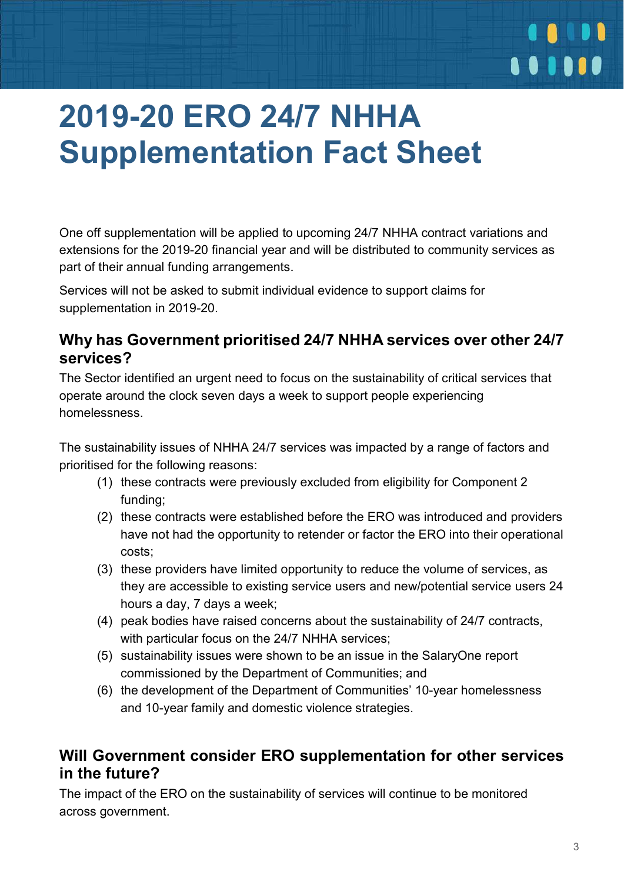## 2019-20 ERO 24/7 NHHA Supplementation Fact Sheet

One off supplementation will be applied to upcoming 24/7 NHHA contract variations and extensions for the 2019-20 financial year and will be distributed to community services as part of their annual funding arrangements.

Services will not be asked to submit individual evidence to support claims for supplementation in 2019-20.

#### Why has Government prioritised 24/7 NHHA services over other 24/7 services?

The Sector identified an urgent need to focus on the sustainability of critical services that operate around the clock seven days a week to support people experiencing homelessness.

The sustainability issues of NHHA 24/7 services was impacted by a range of factors and prioritised for the following reasons:

- (1) these contracts were previously excluded from eligibility for Component 2 funding;
- (2) these contracts were established before the ERO was introduced and providers have not had the opportunity to retender or factor the ERO into their operational costs;
- (3) these providers have limited opportunity to reduce the volume of services, as they are accessible to existing service users and new/potential service users 24 hours a day, 7 days a week;
- (4) peak bodies have raised concerns about the sustainability of 24/7 contracts, with particular focus on the 24/7 NHHA services;
- (5) sustainability issues were shown to be an issue in the SalaryOne report commissioned by the Department of Communities; and
- (6) the development of the Department of Communities' 10-year homelessness and 10-year family and domestic violence strategies.

#### Will Government consider ERO supplementation for other services in the future?

The impact of the ERO on the sustainability of services will continue to be monitored across government.

*<u><b>A</u>*